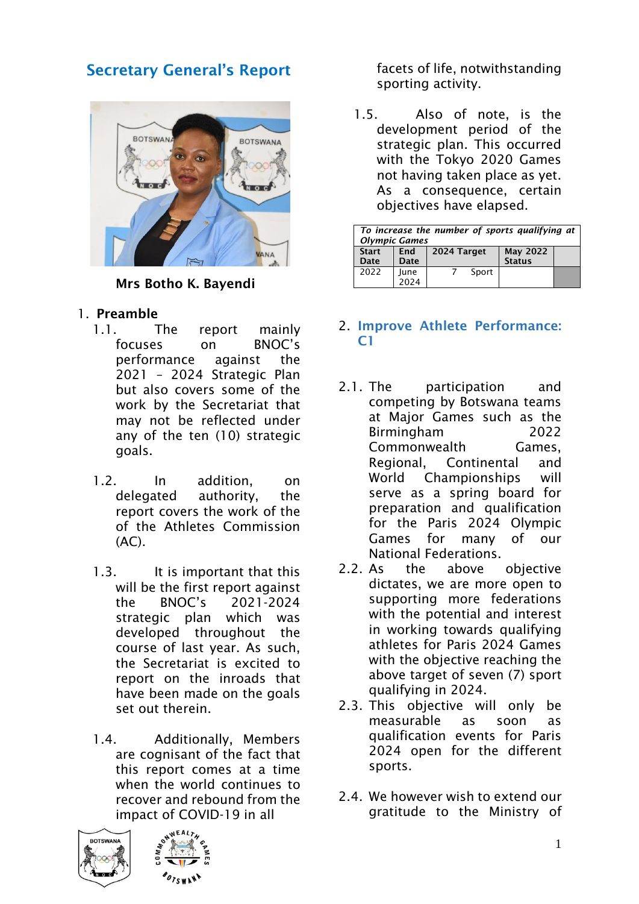# Secretary General's Report



Mrs Botho K. Bayendi

- 1. Preamble
	- 1.1. The report mainly focuses on BNOC's performance against the 2021 – 2024 Strategic Plan but also covers some of the work by the Secretariat that may not be reflected under any of the ten (10) strategic goals.
	- 1.2. In addition, on delegated authority, the report covers the work of the of the Athletes Commission  $(AC)$ .
	- 1.3. It is important that this will be the first report against the BNOC's 2021-2024 strategic plan which was developed throughout the course of last year. As such, the Secretariat is excited to report on the inroads that have been made on the goals set out therein.
	- 1.4. Additionally, Members are cognisant of the fact that this report comes at a time when the world continues to recover and rebound from the impact of COVID-19 in all





facets of life, notwithstanding sporting activity.

1.5. Also of note, is the development period of the strategic plan. This occurred with the Tokyo 2020 Games not having taken place as yet. As a consequence, certain objectives have elapsed.

| To increase the number of sports qualifying at<br><b>Olympic Games</b> |             |             |                                  |  |  |
|------------------------------------------------------------------------|-------------|-------------|----------------------------------|--|--|
| <b>Start</b><br>Date                                                   | End<br>Date | 2024 Target | <b>May 2022</b><br><b>Status</b> |  |  |
| 2022                                                                   | June        | Sport       |                                  |  |  |

# 2. Improve Athlete Performance:  $C<sub>1</sub>$

- 2.1. The participation and competing by Botswana teams at Major Games such as the Birmingham 2022 Commonwealth Games, Regional, Continental and World Championships will serve as a spring board for preparation and qualification for the Paris 2024 Olympic Games for many of our National Federations.
- 2.2. As the above objective dictates, we are more open to supporting more federations with the potential and interest in working towards qualifying athletes for Paris 2024 Games with the objective reaching the above target of seven (7) sport qualifying in 2024.
- 2.3. This objective will only be measurable as soon as qualification events for Paris 2024 open for the different sports.
- 2.4. We however wish to extend our gratitude to the Ministry of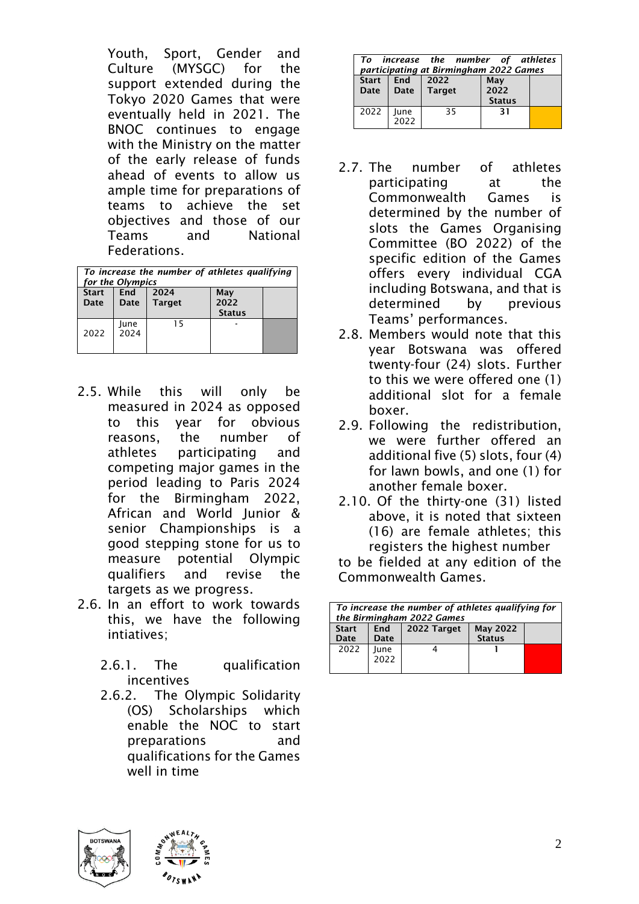Youth, Sport, Gender and Culture (MYSGC) for the support extended during the Tokyo 2020 Games that were eventually held in 2021. The BNOC continues to engage with the Ministry on the matter of the early release of funds ahead of events to allow us ample time for preparations of teams to achieve the set objectives and those of our Teams and National Federations.

| To increase the number of athletes qualifying<br>for the Olympics |                    |                       |                              |  |
|-------------------------------------------------------------------|--------------------|-----------------------|------------------------------|--|
| <b>Start</b><br>Date                                              | <b>Fnd</b><br>Date | 2024<br><b>Target</b> | May<br>2022<br><b>Status</b> |  |
| 2022                                                              | June<br>2024       | 15                    |                              |  |

- 2.5. While this will only be measured in 2024 as opposed to this year for obvious reasons, the number of athletes participating and competing major games in the period leading to Paris 2024 for the Birmingham 2022, African and World Junior & senior Championships is a good stepping stone for us to measure potential Olympic qualifiers and revise the targets as we progress.
- 2.6. In an effort to work towards this, we have the following intiatives;
	- 2.6.1. The qualification incentives
	- 2.6.2. The Olympic Solidarity (OS) Scholarships which enable the NOC to start preparations and qualifications for the Games well in time

| increase the number of athletes<br>Τo<br>participating at Birmingham 2022 Games |              |                |                              |  |
|---------------------------------------------------------------------------------|--------------|----------------|------------------------------|--|
| <b>Start</b><br>Date                                                            | End<br>Date  | 2022<br>Target | May<br>2022<br><b>Status</b> |  |
| 2022                                                                            | June<br>2022 | 35             | -31                          |  |

- 2.7. The number of athletes participating at the Commonwealth Games is determined by the number of slots the Games Organising Committee (BO 2022) of the specific edition of the Games offers every individual CGA including Botswana, and that is determined by previous Teams' performances.
- 2.8. Members would note that this year Botswana was offered twenty-four (24) slots. Further to this we were offered one (1) additional slot for a female boxer.
- 2.9. Following the redistribution, we were further offered an additional five (5) slots, four (4) for lawn bowls, and one (1) for another female boxer.
- 2.10. Of the thirty-one (31) listed above, it is noted that sixteen (16) are female athletes; this registers the highest number

to be fielded at any edition of the Commonwealth Games.

| To increase the number of athletes qualifying for<br>the Birmingham 2022 Games |                    |             |                                  |  |
|--------------------------------------------------------------------------------|--------------------|-------------|----------------------------------|--|
| <b>Start</b><br>Date                                                           | <b>End</b><br>Date | 2022 Target | <b>May 2022</b><br><b>Status</b> |  |
| 2022                                                                           | June<br>2022       |             |                                  |  |



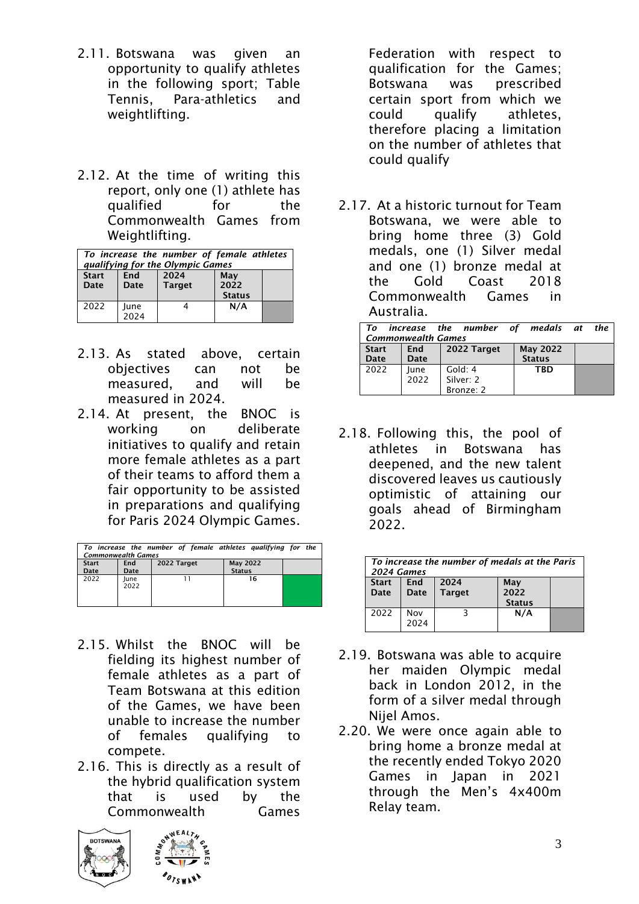- 2.11. Botswana was given an opportunity to qualify athletes in the following sport; Table Tennis, Para-athletics and weightlifting.
- 2.12. At the time of writing this report, only one (1) athlete has qualified for the Commonwealth Games from Weightlifting.

| To increase the number of female athletes<br>qualifying for the Olympic Games |                    |                       |                              |  |
|-------------------------------------------------------------------------------|--------------------|-----------------------|------------------------------|--|
| <b>Start</b><br>Date                                                          | <b>Fnd</b><br>Date | 2024<br><b>Target</b> | May<br>2022<br><b>Status</b> |  |
| 2022                                                                          | June<br>2024       |                       | N/A                          |  |

- 2.13. As stated above, certain objectives can not be measured, and will be measured in 2024.
- 2.14. At present, the BNOC is working on deliberate initiatives to qualify and retain more female athletes as a part of their teams to afford them a fair opportunity to be assisted in preparations and qualifying for Paris 2024 Olympic Games.

| To increase the number of female athletes qualifying for the<br><b>Commonwealth Games</b> |              |             |                                  |  |
|-------------------------------------------------------------------------------------------|--------------|-------------|----------------------------------|--|
| <b>Start</b><br>Date                                                                      | End<br>Date  | 2022 Target | <b>May 2022</b><br><b>Status</b> |  |
| 2022                                                                                      | lune<br>2022 |             | 16                               |  |

- 2.15. Whilst the BNOC will be fielding its highest number of female athletes as a part of Team Botswana at this edition of the Games, we have been unable to increase the number of females qualifying to compete.
- 2.16. This is directly as a result of the hybrid qualification system that is used by the Commonwealth Games





2.17. At a historic turnout for Team Botswana, we were able to bring home three (3) Gold medals, one (1) Silver medal and one (1) bronze medal at the Gold Coast 2018 Commonwealth Games in Australia.

| increase the number of medals at the<br>Tο<br><b>Commonwealth Games</b> |              |                                   |                                  |  |  |
|-------------------------------------------------------------------------|--------------|-----------------------------------|----------------------------------|--|--|
| <b>Start</b><br>Date                                                    | End<br>Date  | 2022 Target                       | <b>May 2022</b><br><b>Status</b> |  |  |
| 2022                                                                    | June<br>2022 | Gold: 4<br>Silver: 2<br>Bronze: 2 | <b>TRD</b>                       |  |  |

2.18. Following this, the pool of athletes in Botswana has deepened, and the new talent discovered leaves us cautiously optimistic of attaining our goals ahead of Birmingham 2022.

| To increase the number of medals at the Paris<br>2024 Games |                    |                       |                              |  |
|-------------------------------------------------------------|--------------------|-----------------------|------------------------------|--|
| <b>Start</b><br>Date                                        | <b>Fnd</b><br>Date | 2024<br><b>Target</b> | May<br>2022<br><b>Status</b> |  |
| 2022                                                        | Nov<br>2024        |                       | N/A                          |  |

- 2.19. Botswana was able to acquire her maiden Olympic medal back in London 2012, in the form of a silver medal through Nijel Amos.
- 2.20. We were once again able to bring home a bronze medal at the recently ended Tokyo 2020 Games in Japan in 2021 through the Men's 4x400m Relay team.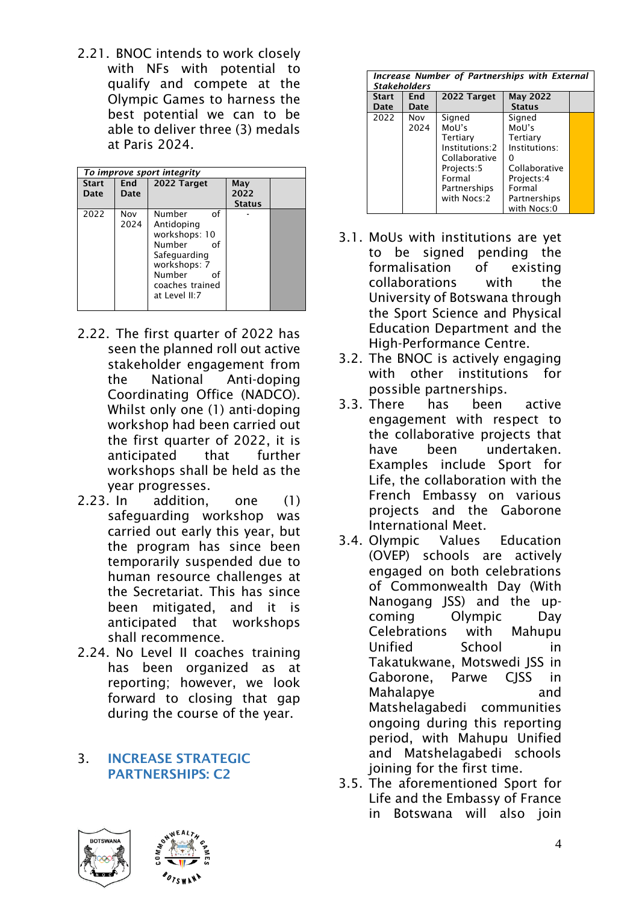2.21. BNOC intends to work closely with NFs with potential to qualify and compete at the Olympic Games to harness the best potential we can to be able to deliver three (3) medals at Paris 2024.

|                      | To improve sport integrity |                                                                                                                                                 |                              |  |  |  |
|----------------------|----------------------------|-------------------------------------------------------------------------------------------------------------------------------------------------|------------------------------|--|--|--|
| <b>Start</b><br>Date | End<br>Date                | 2022 Target                                                                                                                                     | May<br>2022<br><b>Status</b> |  |  |  |
| 2022                 | Nov<br>2024                | Number<br>of<br>Antidoping<br>workshops: 10<br>Number<br>Ωf<br>Safequarding<br>workshops: 7<br>Number<br>Ωf<br>coaches trained<br>at Level II:7 |                              |  |  |  |

- 2.22. The first quarter of 2022 has seen the planned roll out active stakeholder engagement from the National Anti-doping Coordinating Office (NADCO). Whilst only one (1) anti-doping workshop had been carried out the first quarter of 2022, it is anticipated that further workshops shall be held as the year progresses.
- 2.23. In addition, one (1) safeguarding workshop was carried out early this year, but the program has since been temporarily suspended due to human resource challenges at the Secretariat. This has since been mitigated, and it is anticipated that workshops shall recommence.
- 2.24. No Level II coaches training has been organized as at reporting; however, we look forward to closing that gap during the course of the year.

### 3. INCREASE STRATEGIC PARTNERSHIPS: C2

|                      | Increase Number of Partnerships with External<br><b>Stakeholders</b> |                                                                                                                       |                                                                                                                      |  |  |
|----------------------|----------------------------------------------------------------------|-----------------------------------------------------------------------------------------------------------------------|----------------------------------------------------------------------------------------------------------------------|--|--|
| <b>Start</b><br>Date | End<br>Date                                                          | 2022 Target                                                                                                           | <b>May 2022</b><br><b>Status</b>                                                                                     |  |  |
| 2022                 | Nov<br>2024                                                          | Signed<br>MoU's<br>Tertiary<br>Institutions:2<br>Collaborative<br>Projects:5<br>Formal<br>Partnerships<br>with Nocs:2 | Signed<br>MoU's<br>Tertiary<br>Institutions:<br>Collaborative<br>Projects:4<br>Formal<br>Partnerships<br>with Nocs:0 |  |  |

- 3.1. MoUs with institutions are yet to be signed pending the formalisation of existing collaborations with the University of Botswana through the Sport Science and Physical Education Department and the High-Performance Centre.
- 3.2. The BNOC is actively engaging with other institutions for possible partnerships.
- 3.3. There has been active engagement with respect to the collaborative projects that have been undertaken. Examples include Sport for Life, the collaboration with the French Embassy on various projects and the Gaborone International Meet.
- 3.4. Olympic Values Education (OVEP) schools are actively engaged on both celebrations of Commonwealth Day (With Nanogang JSS) and the upcoming Olympic Day Celebrations with Mahupu Unified School in Takatukwane, Motswedi JSS in Gaborone, Parwe CJSS in Mahalapye and Matshelagabedi communities ongoing during this reporting period, with Mahupu Unified and Matshelagabedi schools joining for the first time.
- 3.5. The aforementioned Sport for Life and the Embassy of France in Botswana will also join

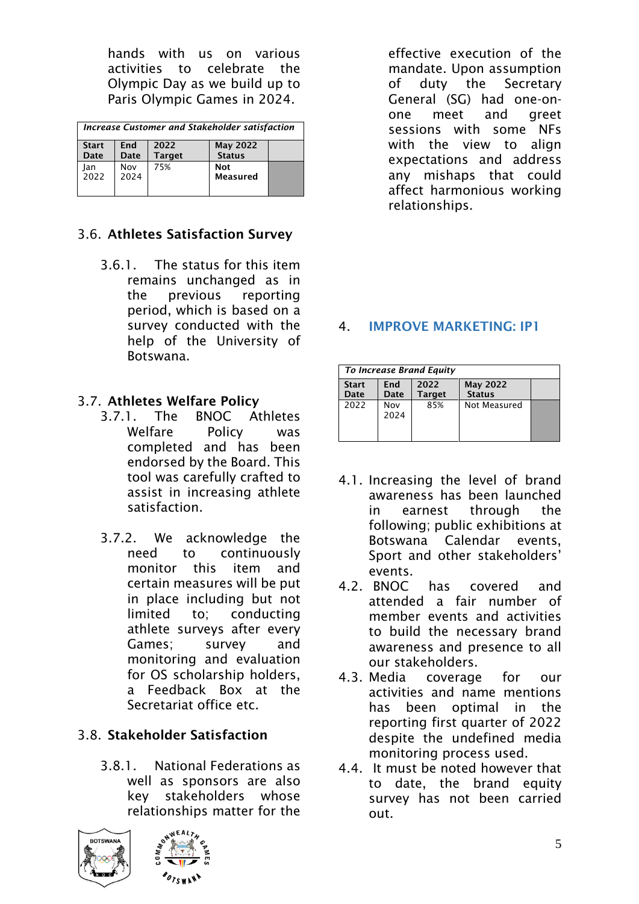hands with us on various activities to celebrate the Olympic Day as we build up to Paris Olympic Games in 2024.

| Increase Customer and Stakeholder satisfaction |                    |                       |                                  |  |
|------------------------------------------------|--------------------|-----------------------|----------------------------------|--|
| <b>Start</b><br>Date                           | <b>Fnd</b><br>Date | 2022<br><b>Target</b> | <b>May 2022</b><br><b>Status</b> |  |
| lan<br>2022                                    | Nov<br>2024        | 75%                   | <b>Not</b><br>Measured           |  |

# 3.6. Athletes Satisfaction Survey

3.6.1. The status for this item remains unchanged as in the previous reporting period, which is based on a survey conducted with the help of the University of Botswana.

# 3.7. Athletes Welfare Policy

- 3.7.1. The BNOC Athletes Welfare Policy was completed and has been endorsed by the Board. This tool was carefully crafted to assist in increasing athlete satisfaction.
- 3.7.2. We acknowledge the need to continuously monitor this item and certain measures will be put in place including but not limited to; conducting athlete surveys after every Games; survey and monitoring and evaluation for OS scholarship holders, a Feedback Box at the Secretariat office etc.

# 3.8. Stakeholder Satisfaction

3.8.1. National Federations as well as sponsors are also key stakeholders whose relationships matter for the





effective execution of the mandate. Upon assumption of duty the Secretary General (SG) had one-onone meet and greet sessions with some NFs with the view to align expectations and address any mishaps that could affect harmonious working relationships.

# 4. IMPROVE MARKETING: IP1

|                      |                     | To Increase Brand Equity |                                  |  |
|----------------------|---------------------|--------------------------|----------------------------------|--|
| <b>Start</b><br>Date | <b>F</b> nd<br>Date | 2022<br><b>Target</b>    | <b>May 2022</b><br><b>Status</b> |  |
| 2022                 | Nov<br>2024         | 85%                      | Not Measured                     |  |

- 4.1. Increasing the level of brand awareness has been launched in earnest through the following; public exhibitions at Botswana Calendar events, Sport and other stakeholders' events.
- 4.2. BNOC has covered and attended a fair number of member events and activities to build the necessary brand awareness and presence to all our stakeholders.
- 4.3. Media coverage for our activities and name mentions has been optimal in the reporting first quarter of 2022 despite the undefined media monitoring process used.
- 4.4. It must be noted however that to date, the brand equity survey has not been carried out.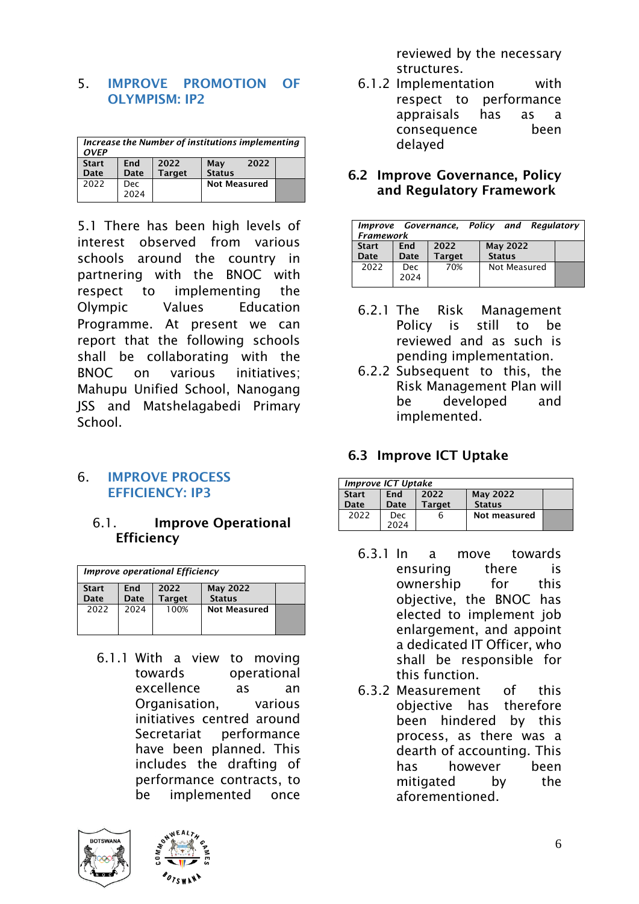### 5. IMPROVE PROMOTION OF OLYMPISM: IP2

| Increase the Number of institutions implementing<br><b>OVFP</b> |                                                                      |  |                     |  |  |  |  |
|-----------------------------------------------------------------|----------------------------------------------------------------------|--|---------------------|--|--|--|--|
| <b>Start</b><br>Date                                            | 2022<br>2022<br>End<br>May<br><b>Status</b><br><b>Target</b><br>Date |  |                     |  |  |  |  |
| 2022                                                            | Dec<br>2024                                                          |  | <b>Not Measured</b> |  |  |  |  |

5.1 There has been high levels of interest observed from various schools around the country in partnering with the BNOC with respect to implementing the Olympic Values Education Programme. At present we can report that the following schools shall be collaborating with the BNOC on various initiatives; Mahupu Unified School, Nanogang JSS and Matshelagabedi Primary **School** 

### 6. IMPROVE PROCESS EFFICIENCY: IP3

## 6.1. Improve Operational **Efficiency**

| <b>Improve operational Efficiency</b> |                    |                       |                                  |  |  |
|---------------------------------------|--------------------|-----------------------|----------------------------------|--|--|
| <b>Start</b><br>Date                  | <b>Fnd</b><br>Date | 2022<br><b>Target</b> | <b>May 2022</b><br><b>Status</b> |  |  |
| 2022                                  | 2024               | 100%                  | <b>Not Measured</b>              |  |  |

6.1.1 With a view to moving towards operational excellence as an Organisation, various initiatives centred around Secretariat performance have been planned. This includes the drafting of performance contracts, to be implemented once





reviewed by the necessary structures.

- 6.1.2 Implementation with respect to performance appraisals has as a consequence been delayed
- 6.2 Improve Governance, Policy and Regulatory Framework

| <b>Framework</b>     |                    | Improve Governance, Policy and Regulatory |  |                                  |  |
|----------------------|--------------------|-------------------------------------------|--|----------------------------------|--|
| <b>Start</b><br>Date | <b>End</b><br>Date | 2022<br><b>Target</b>                     |  | <b>May 2022</b><br><b>Status</b> |  |
| 2022                 | Dec.<br>2024       | 70%                                       |  | Not Measured                     |  |

- 6.2.1 The Risk Management Policy is still to be reviewed and as such is pending implementation.
- 6.2.2 Subsequent to this, the Risk Management Plan will be developed and implemented.

# 6.3 Improve ICT Uptake

| <b>Improve ICT Uptake</b> |             |                       |                                  |  |  |
|---------------------------|-------------|-----------------------|----------------------------------|--|--|
| <b>Start</b><br>Date      | Fnd<br>Date | 2022<br><b>Target</b> | <b>May 2022</b><br><b>Status</b> |  |  |
| 2022                      | Dec<br>2024 | n                     | Not measured                     |  |  |

- 6.3.1 In a move towards ensuring there is ownership for this objective, the BNOC has elected to implement job enlargement, and appoint a dedicated IT Officer, who shall be responsible for this function.
- 6.3.2 Measurement of this objective has therefore been hindered by this process, as there was a dearth of accounting. This has however been mitigated by the aforementioned.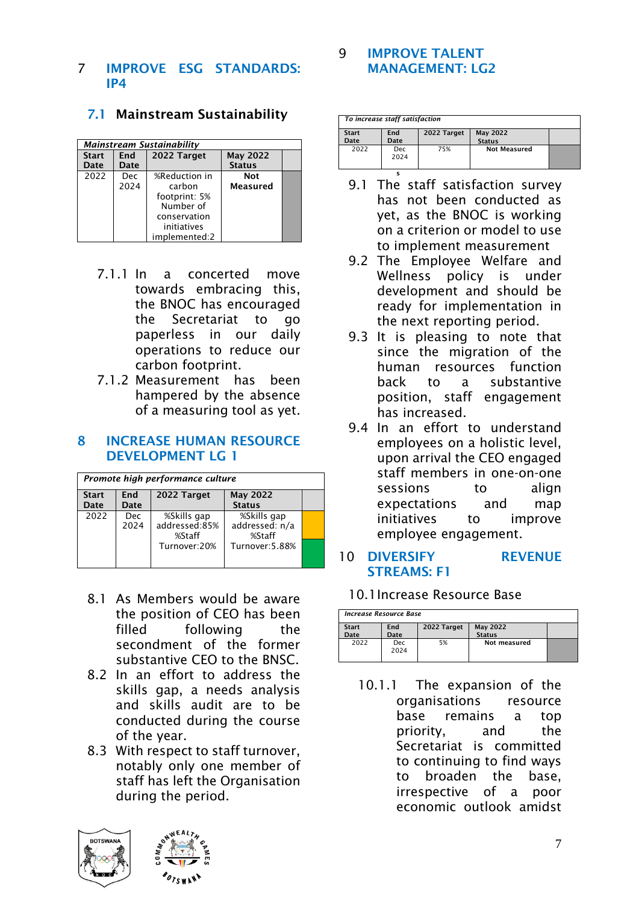#### 7 IMPROVE ESG STANDARDS: IP4

|              | <b>Mainstream Sustainability</b> |               |                 |  |  |  |  |
|--------------|----------------------------------|---------------|-----------------|--|--|--|--|
| <b>Start</b> | End                              | 2022 Target   | <b>May 2022</b> |  |  |  |  |
| Date         | Date                             |               | <b>Status</b>   |  |  |  |  |
| 2022         | <b>Dec</b>                       | %Reduction in | <b>Not</b>      |  |  |  |  |
|              | 2024                             | carbon        | <b>Measured</b> |  |  |  |  |
|              |                                  | footprint: 5% |                 |  |  |  |  |
|              |                                  | Number of     |                 |  |  |  |  |
|              |                                  | conservation  |                 |  |  |  |  |
|              |                                  | initiatives   |                 |  |  |  |  |
|              |                                  | implemented:2 |                 |  |  |  |  |

### 7.1 Mainstream Sustainability

- 7.1.1 In a concerted move towards embracing this, the BNOC has encouraged the Secretariat to go paperless in our daily operations to reduce our carbon footprint.
- 7.1.2 Measurement has been hampered by the absence of a measuring tool as yet.

#### 8 INCREASE HUMAN RESOURCE DEVELOPMENT LG 1

| Promote high performance culture |                    |                                        |                                         |  |  |  |
|----------------------------------|--------------------|----------------------------------------|-----------------------------------------|--|--|--|
| <b>Start</b><br>Date             | <b>End</b><br>Date | 2022 Target                            | <b>May 2022</b><br><b>Status</b>        |  |  |  |
| 2022                             | <b>Dec</b><br>2024 | %Skills gap<br>addressed:85%<br>%Staff | %Skills gap<br>addressed: n/a<br>%Staff |  |  |  |
|                                  |                    | Turnover:20%                           | Turnover: 5.88%                         |  |  |  |

- 8.1 As Members would be aware the position of CEO has been filled following the secondment of the former substantive CEO to the BNSC.
- 8.2 In an effort to address the skills gap, a needs analysis and skills audit are to be conducted during the course of the year.
- 8.3 With respect to staff turnover, notably only one member of staff has left the Organisation during the period.



#### 9 IMPROVE TALENT MANAGEMENT: LG2

|              | To increase staff satisfaction |             |                     |  |  |  |
|--------------|--------------------------------|-------------|---------------------|--|--|--|
| <b>Start</b> | End                            | 2022 Target | <b>May 2022</b>     |  |  |  |
| Date         | Date                           |             | <b>Status</b>       |  |  |  |
| 2022         | <b>Dec</b><br>2024             | 75%         | <b>Not Measured</b> |  |  |  |
|              |                                |             |                     |  |  |  |

- 9.1 The staff satisfaction survey has not been conducted as yet, as the BNOC is working on a criterion or model to use to implement measurement
- 9.2 The Employee Welfare and Wellness policy is under development and should be ready for implementation in the next reporting period.
- 9.3 It is pleasing to note that since the migration of the human resources function back to a substantive position, staff engagement has increased.
- 9.4 In an effort to understand employees on a holistic level, upon arrival the CEO engaged staff members in one-on-one sessions to align expectations and map initiatives to improve employee engagement.

### 10 DIVERSIFY REVENUE STREAMS: F1

#### 10.1Increase Resource Base

| Increase Resource Base |                    |             |               |  |  |
|------------------------|--------------------|-------------|---------------|--|--|
| <b>Start</b>           | End                | 2022 Target | May 2022      |  |  |
| Date                   | Date               |             | <b>Status</b> |  |  |
| 2022                   | <b>Dec</b><br>2024 | 5%          | Not measured  |  |  |

10.1.1 The expansion of the organisations resource base remains a top priority, and the Secretariat is committed to continuing to find ways to broaden the base, irrespective of a poor economic outlook amidst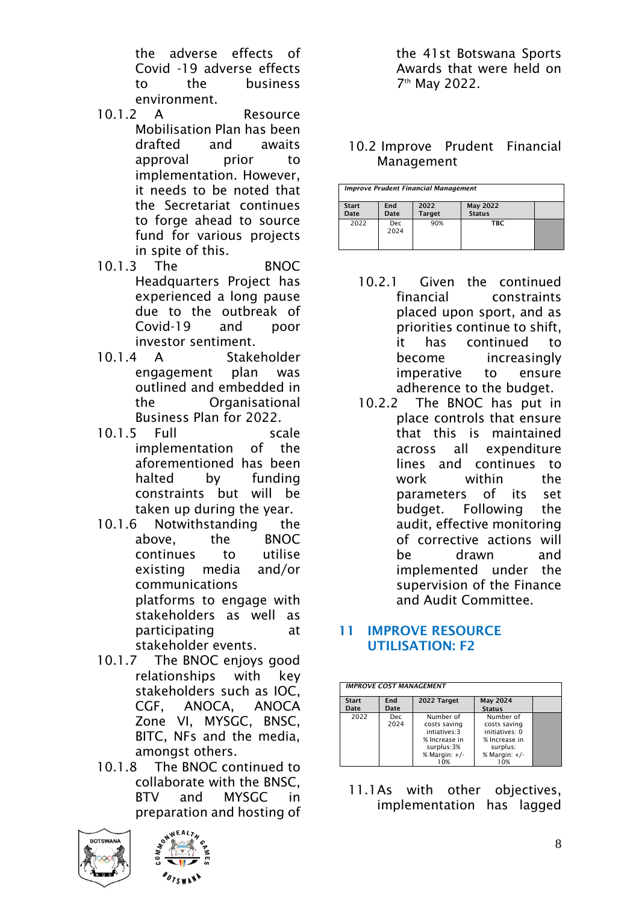the adverse effects of Covid -19 adverse effects to the business environment.

- 10.1.2 A Resource Mobilisation Plan has been drafted and awaits approval prior to implementation. However, it needs to be noted that the Secretariat continues to forge ahead to source fund for various projects in spite of this.
- 10.1.3 The BNOC Headquarters Project has experienced a long pause due to the outbreak of Covid-19 and poor investor sentiment.
- 10.1.4 A Stakeholder engagement plan was outlined and embedded in the Organisational Business Plan for 2022.
- 10.1.5 Full scale implementation of the aforementioned has been halted by funding constraints but will be taken up during the year.
- 10.1.6 Notwithstanding the above, the BNOC continues to utilise existing media and/or communications platforms to engage with stakeholders as well as participating at stakeholder events.
- 10.1.7 The BNOC enjoys good relationships with key stakeholders such as IOC, CGF, ANOCA, ANOCA Zone VI, MYSGC, BNSC, BITC, NFs and the media, amongst others.
- 10.1.8 The BNOC continued to collaborate with the BNSC, BTV and MYSGC in preparation and hosting of





the 41st Botswana Sports Awards that were held on 7 th May 2022.

### 10.2 Improve Prudent Financial Management

| <b>Improve Prudent Financial Management</b> |                    |                       |                                  |  |
|---------------------------------------------|--------------------|-----------------------|----------------------------------|--|
| <b>Start</b><br>Date                        | End<br>Date        | 2022<br><b>Target</b> | <b>May 2022</b><br><b>Status</b> |  |
| 2022                                        | <b>Dec</b><br>2024 | 90%                   | <b>TBC</b>                       |  |

- 10.2.1 Given the continued financial constraints placed upon sport, and as priorities continue to shift, it has continued to become increasingly imperative to ensure adherence to the budget.
- 10.2.2 The BNOC has put in place controls that ensure that this is maintained across all expenditure lines and continues to work within the parameters of its set budget. Following the audit, effective monitoring of corrective actions will be drawn and implemented under the supervision of the Finance and Audit Committee.

### 11 IMPROVE RESOURCE UTILISATION: F2

| <b>IMPROVE COST MANAGEMENT</b> |              |                                                                                                     |                                                                                                    |  |  |
|--------------------------------|--------------|-----------------------------------------------------------------------------------------------------|----------------------------------------------------------------------------------------------------|--|--|
| <b>Start</b><br>Date           | End<br>Date  | 2022 Target                                                                                         | <b>May 2024</b><br><b>Status</b>                                                                   |  |  |
| 2022                           | Dec.<br>2024 | Number of<br>costs saving<br>intiatives: 3<br>% Increase in<br>surplus:3%<br>% Margin: $+/-$<br>10% | Number of<br>costs saving<br>initiatives: 0<br>% Increase in<br>surplus:<br>% Margin: $+/-$<br>10% |  |  |

11.1As with other objectives, implementation has lagged